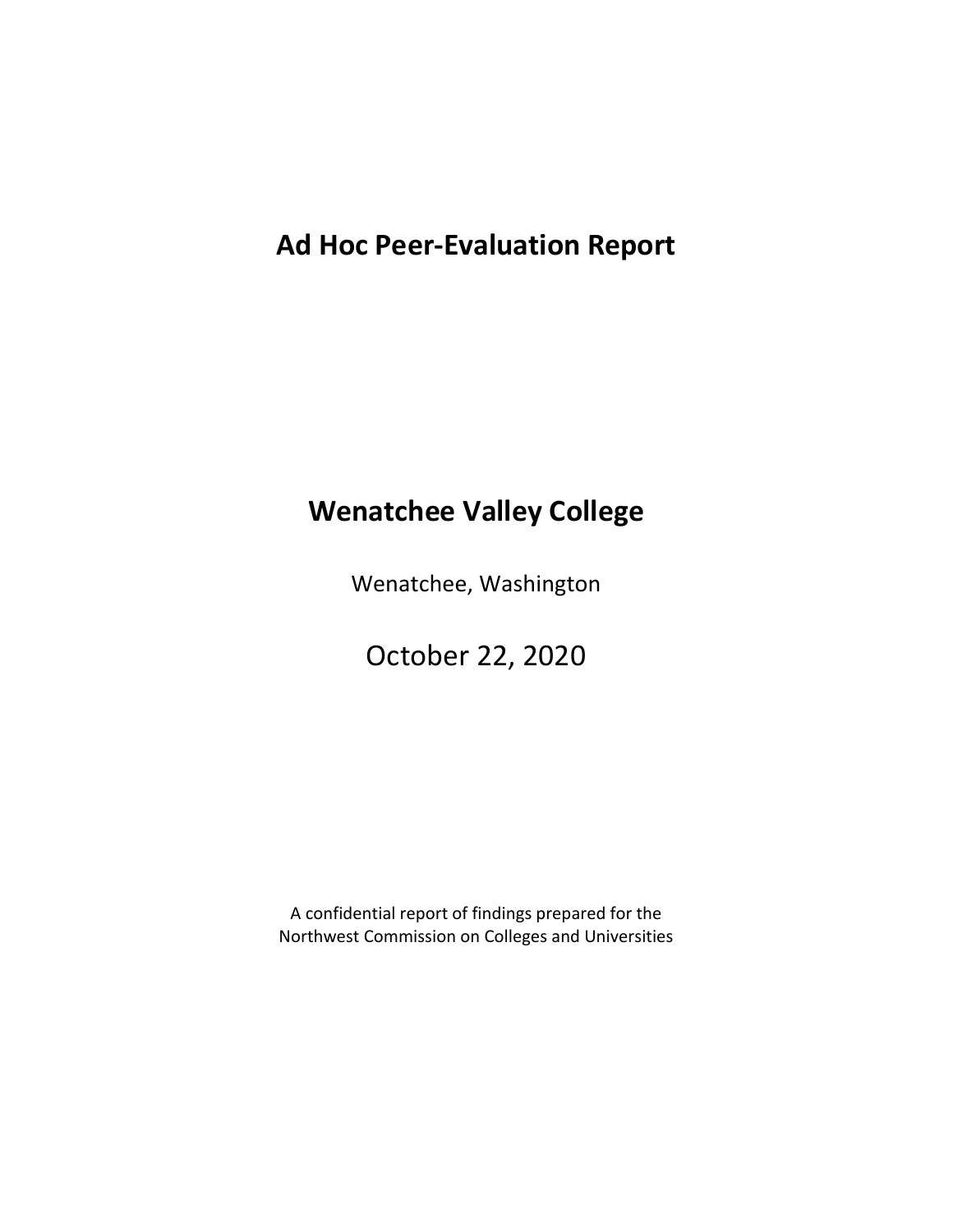# **Ad Hoc Peer-Evaluation Report**

# **Wenatchee Valley College**

Wenatchee, Washington

October 22, 2020

A confidential report of findings prepared for the Northwest Commission on Colleges and Universities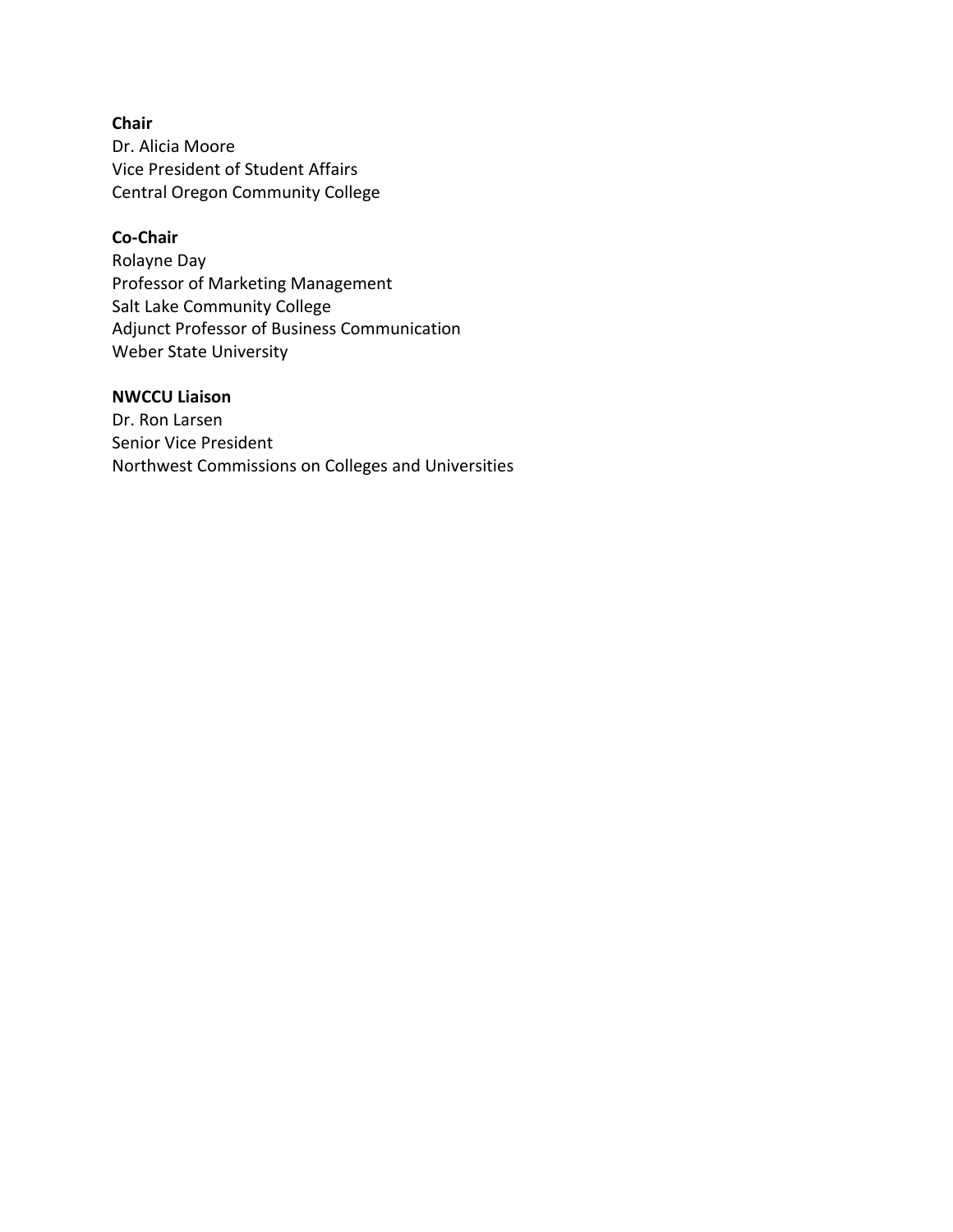**Chair** Dr. Alicia Moore Vice President of Student Affairs Central Oregon Community College

#### **Co-Chair**

Rolayne Day Professor of Marketing Management Salt Lake Community College Adjunct Professor of Business Communication Weber State University

### **NWCCU Liaison**

Dr. Ron Larsen Senior Vice President Northwest Commissions on Colleges and Universities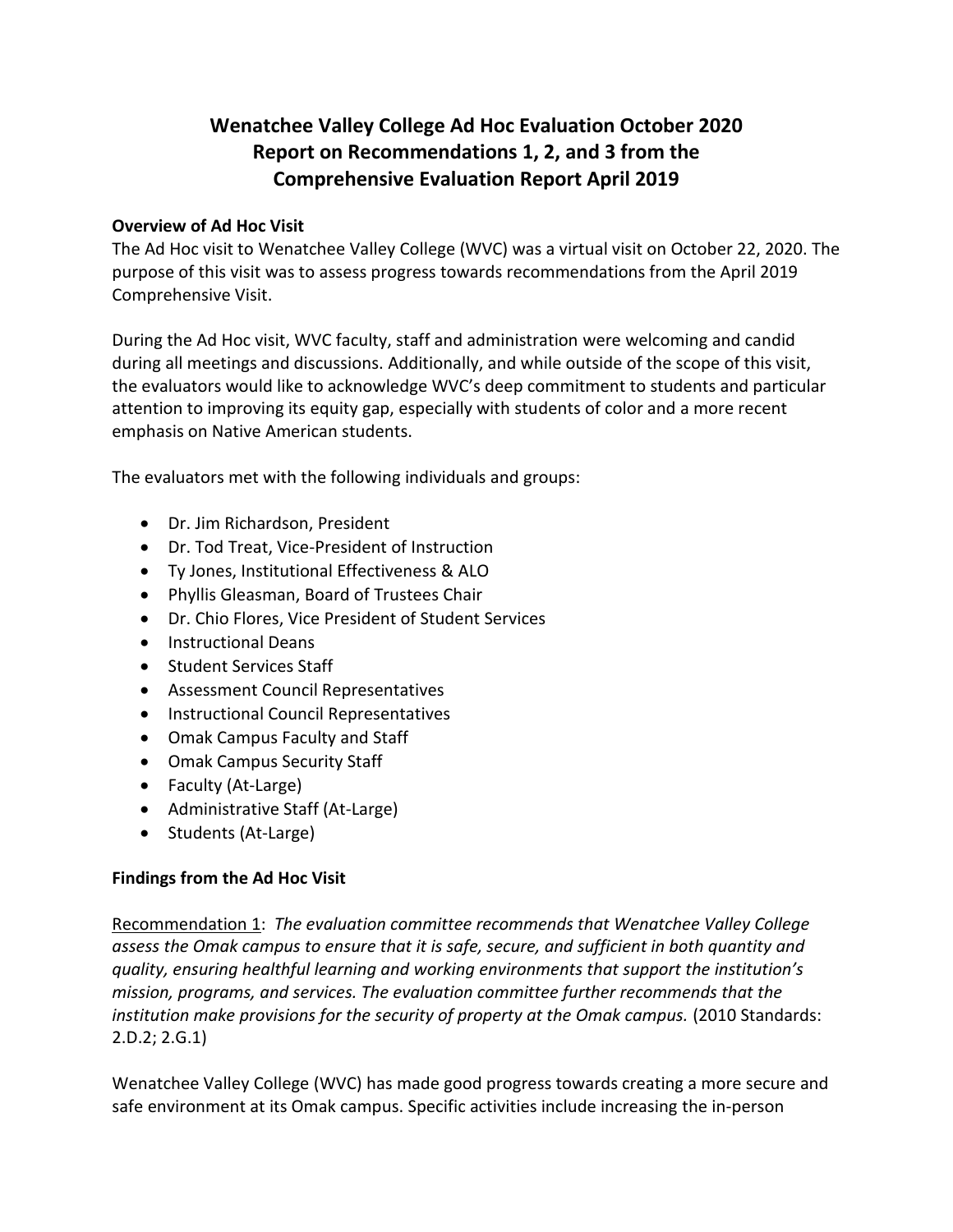## **Wenatchee Valley College Ad Hoc Evaluation October 2020 Report on Recommendations 1, 2, and 3 from the Comprehensive Evaluation Report April 2019**

#### **Overview of Ad Hoc Visit**

The Ad Hoc visit to Wenatchee Valley College (WVC) was a virtual visit on October 22, 2020. The purpose of this visit was to assess progress towards recommendations from the April 2019 Comprehensive Visit.

During the Ad Hoc visit, WVC faculty, staff and administration were welcoming and candid during all meetings and discussions. Additionally, and while outside of the scope of this visit, the evaluators would like to acknowledge WVC's deep commitment to students and particular attention to improving its equity gap, especially with students of color and a more recent emphasis on Native American students.

The evaluators met with the following individuals and groups:

- Dr. Jim Richardson, President
- Dr. Tod Treat, Vice-President of Instruction
- Ty Jones, Institutional Effectiveness & ALO
- Phyllis Gleasman, Board of Trustees Chair
- Dr. Chio Flores, Vice President of Student Services
- Instructional Deans
- Student Services Staff
- Assessment Council Representatives
- **•** Instructional Council Representatives
- Omak Campus Faculty and Staff
- Omak Campus Security Staff
- Faculty (At-Large)
- Administrative Staff (At-Large)
- Students (At-Large)

### **Findings from the Ad Hoc Visit**

Recommendation 1:*The evaluation committee recommends that Wenatchee Valley College assess the Omak campus to ensure that it is safe, secure, and sufficient in both quantity and quality, ensuring healthful learning and working environments that support the institution's mission, programs, and services. The evaluation committee further recommends that the*  institution make provisions for the security of property at the Omak campus. (2010 Standards: 2.D.2; 2.G.1)

Wenatchee Valley College (WVC) has made good progress towards creating a more secure and safe environment at its Omak campus. Specific activities include increasing the in-person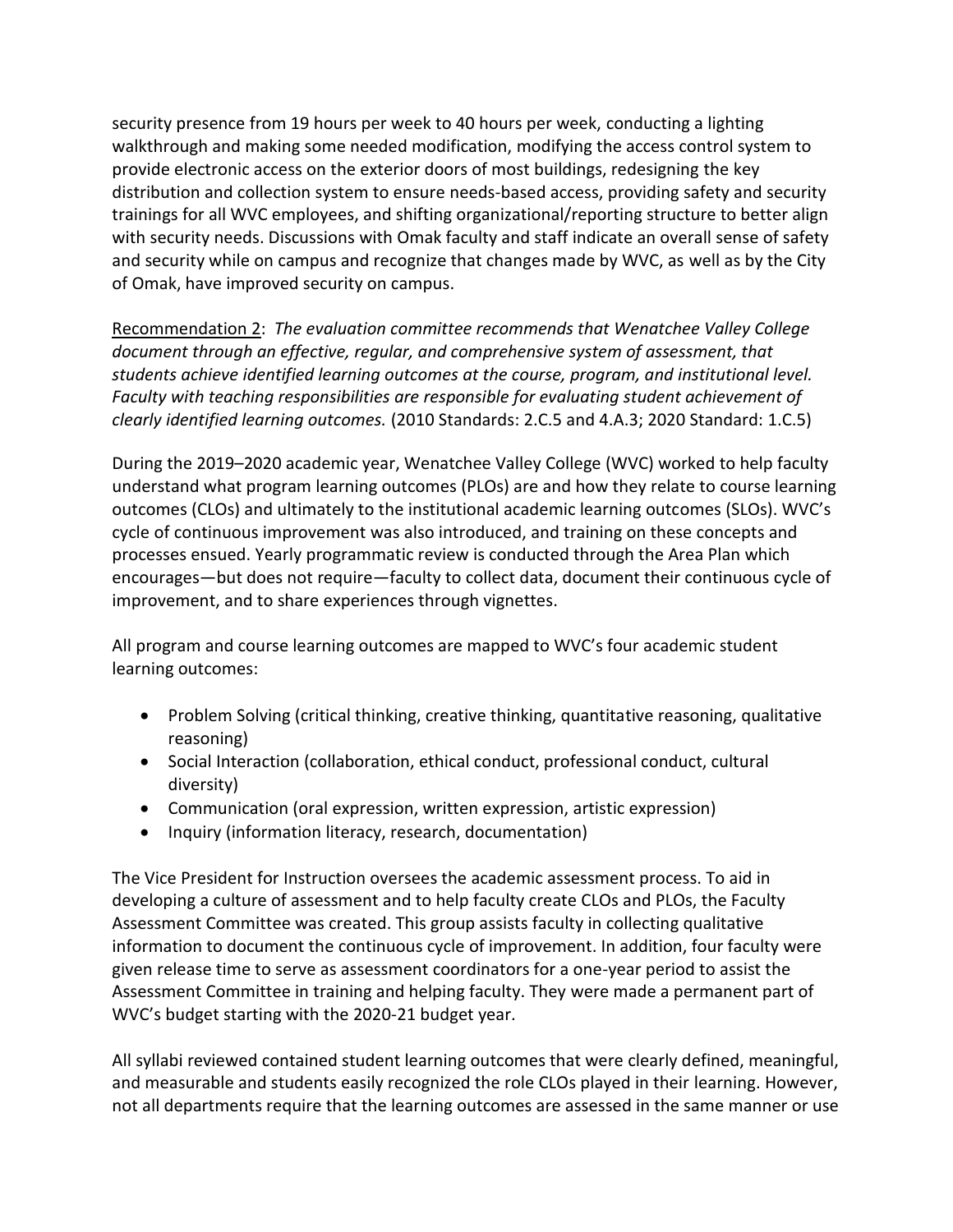security presence from 19 hours per week to 40 hours per week, conducting a lighting walkthrough and making some needed modification, modifying the access control system to provide electronic access on the exterior doors of most buildings, redesigning the key distribution and collection system to ensure needs-based access, providing safety and security trainings for all WVC employees, and shifting organizational/reporting structure to better align with security needs. Discussions with Omak faculty and staff indicate an overall sense of safety and security while on campus and recognize that changes made by WVC, as well as by the City of Omak, have improved security on campus.

Recommendation 2:*The evaluation committee recommends that Wenatchee Valley College document through an effective, regular, and comprehensive system of assessment, that students achieve identified learning outcomes at the course, program, and institutional level. Faculty with teaching responsibilities are responsible for evaluating student achievement of clearly identified learning outcomes.* (2010 Standards: 2.C.5 and 4.A.3; 2020 Standard: 1.C.5)

During the 2019–2020 academic year, Wenatchee Valley College (WVC) worked to help faculty understand what program learning outcomes (PLOs) are and how they relate to course learning outcomes (CLOs) and ultimately to the institutional academic learning outcomes (SLOs). WVC's cycle of continuous improvement was also introduced, and training on these concepts and processes ensued. Yearly programmatic review is conducted through the Area Plan which encourages—but does not require—faculty to collect data, document their continuous cycle of improvement, and to share experiences through vignettes.

All program and course learning outcomes are mapped to WVC's four academic student learning outcomes:

- Problem Solving (critical thinking, creative thinking, quantitative reasoning, qualitative reasoning)
- Social Interaction (collaboration, ethical conduct, professional conduct, cultural diversity)
- Communication (oral expression, written expression, artistic expression)
- Inquiry (information literacy, research, documentation)

The Vice President for Instruction oversees the academic assessment process. To aid in developing a culture of assessment and to help faculty create CLOs and PLOs, the Faculty Assessment Committee was created. This group assists faculty in collecting qualitative information to document the continuous cycle of improvement. In addition, four faculty were given release time to serve as assessment coordinators for a one-year period to assist the Assessment Committee in training and helping faculty. They were made a permanent part of WVC's budget starting with the 2020-21 budget year.

All syllabi reviewed contained student learning outcomes that were clearly defined, meaningful, and measurable and students easily recognized the role CLOs played in their learning. However, not all departments require that the learning outcomes are assessed in the same manner or use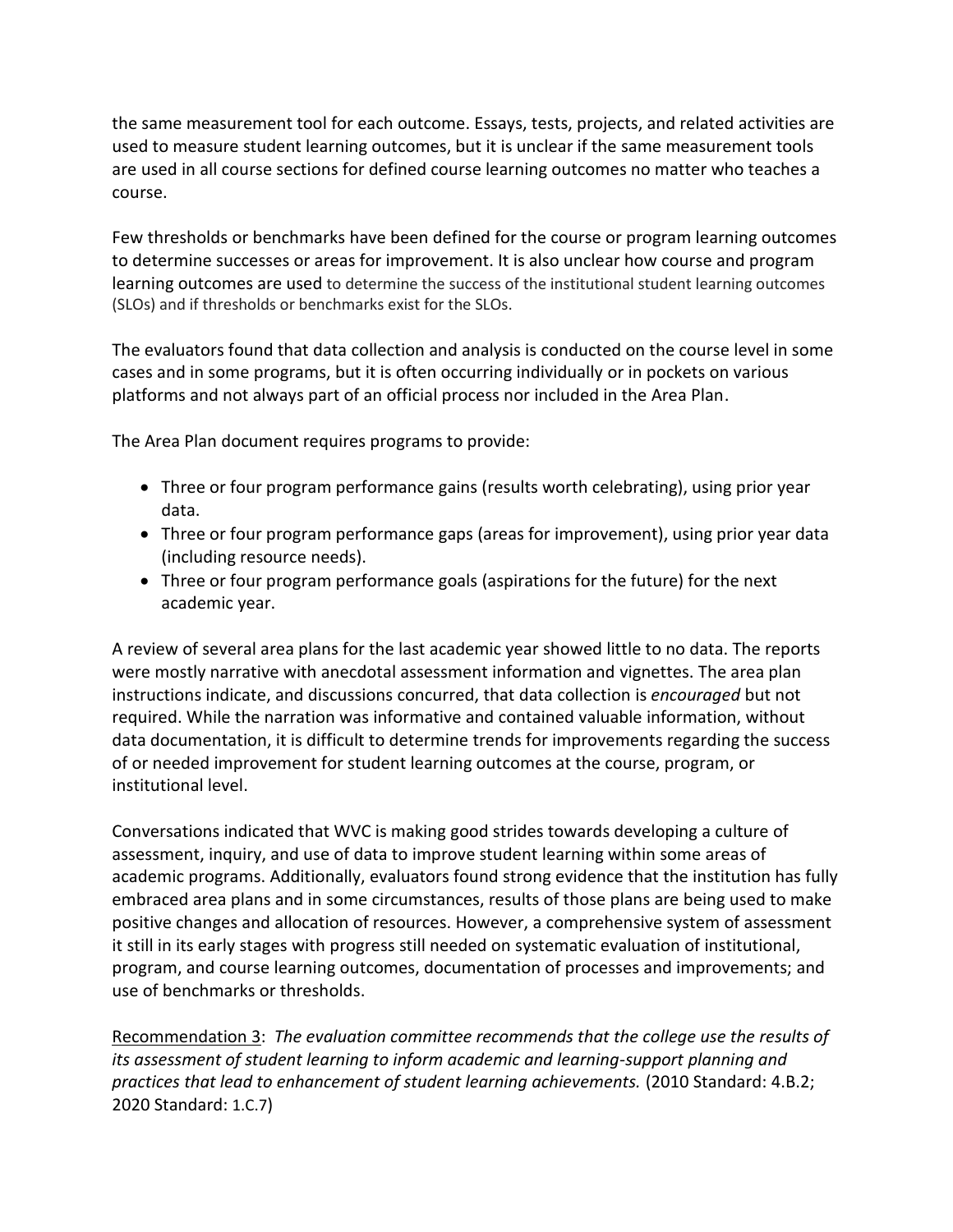the same measurement tool for each outcome. Essays, tests, projects, and related activities are used to measure student learning outcomes, but it is unclear if the same measurement tools are used in all course sections for defined course learning outcomes no matter who teaches a course.

Few thresholds or benchmarks have been defined for the course or program learning outcomes to determine successes or areas for improvement. It is also unclear how course and program learning outcomes are used to determine the success of the institutional student learning outcomes (SLOs) and if thresholds or benchmarks exist for the SLOs.

The evaluators found that data collection and analysis is conducted on the course level in some cases and in some programs, but it is often occurring individually or in pockets on various platforms and not always part of an official process nor included in the Area Plan.

The Area Plan document requires programs to provide:

- Three or four program performance gains (results worth celebrating), using prior year data.
- Three or four program performance gaps (areas for improvement), using prior year data (including resource needs).
- Three or four program performance goals (aspirations for the future) for the next academic year.

A review of several area plans for the last academic year showed little to no data. The reports were mostly narrative with anecdotal assessment information and vignettes. The area plan instructions indicate, and discussions concurred, that data collection is *encouraged* but not required. While the narration was informative and contained valuable information, without data documentation, it is difficult to determine trends for improvements regarding the success of or needed improvement for student learning outcomes at the course, program, or institutional level.

Conversations indicated that WVC is making good strides towards developing a culture of assessment, inquiry, and use of data to improve student learning within some areas of academic programs. Additionally, evaluators found strong evidence that the institution has fully embraced area plans and in some circumstances, results of those plans are being used to make positive changes and allocation of resources. However, a comprehensive system of assessment it still in its early stages with progress still needed on systematic evaluation of institutional, program, and course learning outcomes, documentation of processes and improvements; and use of benchmarks or thresholds.

Recommendation 3:*The evaluation committee recommends that the college use the results of its assessment of student learning to inform academic and learning-support planning and practices that lead to enhancement of student learning achievements.* (2010 Standard: 4.B.2; 2020 Standard: 1.C.7)